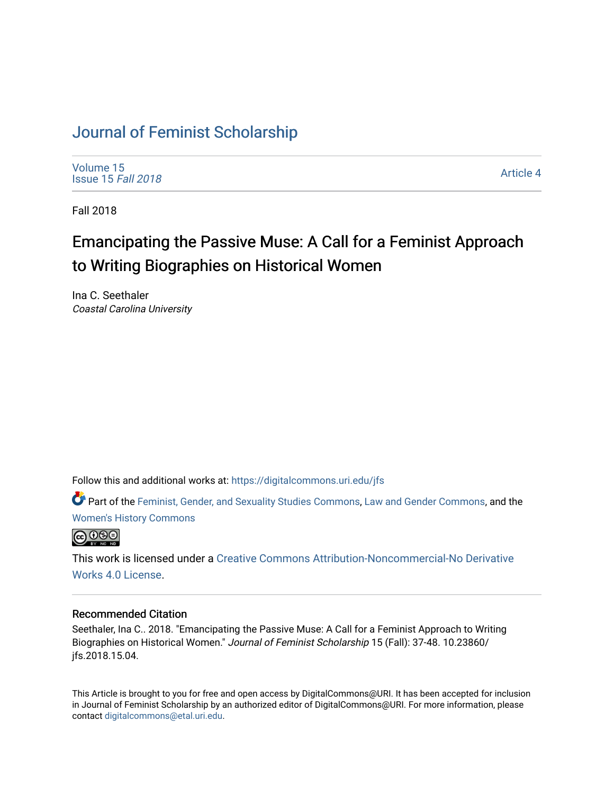# [Journal of Feminist Scholarship](https://digitalcommons.uri.edu/jfs)

[Volume 15](https://digitalcommons.uri.edu/jfs/vol15) [Issue 15](https://digitalcommons.uri.edu/jfs/vol15/iss15) Fall 2018

[Article 4](https://digitalcommons.uri.edu/jfs/vol15/iss15/4) 

Fall 2018

# Emancipating the Passive Muse: A Call for a Feminist Approach to Writing Biographies on Historical Women

Ina C. Seethaler Coastal Carolina University

Follow this and additional works at: [https://digitalcommons.uri.edu/jfs](https://digitalcommons.uri.edu/jfs?utm_source=digitalcommons.uri.edu%2Fjfs%2Fvol15%2Fiss15%2F4&utm_medium=PDF&utm_campaign=PDFCoverPages) 

Part of the [Feminist, Gender, and Sexuality Studies Commons](http://network.bepress.com/hgg/discipline/559?utm_source=digitalcommons.uri.edu%2Fjfs%2Fvol15%2Fiss15%2F4&utm_medium=PDF&utm_campaign=PDFCoverPages), [Law and Gender Commons,](http://network.bepress.com/hgg/discipline/1298?utm_source=digitalcommons.uri.edu%2Fjfs%2Fvol15%2Fiss15%2F4&utm_medium=PDF&utm_campaign=PDFCoverPages) and the [Women's History Commons](http://network.bepress.com/hgg/discipline/507?utm_source=digitalcommons.uri.edu%2Fjfs%2Fvol15%2Fiss15%2F4&utm_medium=PDF&utm_campaign=PDFCoverPages) 



This work is licensed under a [Creative Commons Attribution-Noncommercial-No Derivative](https://creativecommons.org/licenses/by-nc-nd/4.0/)  [Works 4.0 License](https://creativecommons.org/licenses/by-nc-nd/4.0/).

## Recommended Citation

Seethaler, Ina C.. 2018. "Emancipating the Passive Muse: A Call for a Feminist Approach to Writing Biographies on Historical Women." Journal of Feminist Scholarship 15 (Fall): 37-48. 10.23860/ jfs.2018.15.04.

This Article is brought to you for free and open access by DigitalCommons@URI. It has been accepted for inclusion in Journal of Feminist Scholarship by an authorized editor of DigitalCommons@URI. For more information, please contact [digitalcommons@etal.uri.edu.](mailto:digitalcommons@etal.uri.edu)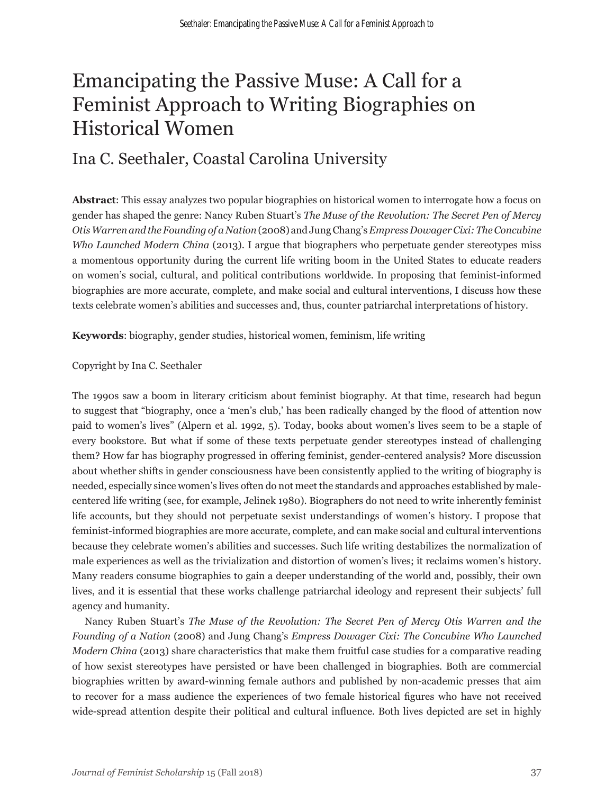# Emancipating the Passive Muse: A Call for a Feminist Approach to Writing Biographies on Historical Women

# Ina C. Seethaler, Coastal Carolina University

**Abstract**: This essay analyzes two popular biographies on historical women to interrogate how a focus on gender has shaped the genre: Nancy Ruben Stuart's *The Muse of the Revolution: The Secret Pen of Mercy Otis Warren and the Founding of a Nation* (2008) and Jung Chang's *Empress Dowager Cixi: The Concubine Who Launched Modern China* (2013). I argue that biographers who perpetuate gender stereotypes miss a momentous opportunity during the current life writing boom in the United States to educate readers on women's social, cultural, and political contributions worldwide. In proposing that feminist-informed biographies are more accurate, complete, and make social and cultural interventions, I discuss how these texts celebrate women's abilities and successes and, thus, counter patriarchal interpretations of history.

**Keywords**: biography, gender studies, historical women, feminism, life writing

## Copyright by Ina C. Seethaler

The 1990s saw a boom in literary criticism about feminist biography. At that time, research had begun to suggest that "biography, once a 'men's club,' has been radically changed by the flood of attention now paid to women's lives" (Alpern et al. 1992, 5). Today, books about women's lives seem to be a staple of every bookstore. But what if some of these texts perpetuate gender stereotypes instead of challenging them? How far has biography progressed in offering feminist, gender-centered analysis? More discussion about whether shifts in gender consciousness have been consistently applied to the writing of biography is needed, especially since women's lives often do not meet the standards and approaches established by malecentered life writing (see, for example, Jelinek 1980). Biographers do not need to write inherently feminist life accounts, but they should not perpetuate sexist understandings of women's history. I propose that feminist-informed biographies are more accurate, complete, and can make social and cultural interventions because they celebrate women's abilities and successes. Such life writing destabilizes the normalization of male experiences as well as the trivialization and distortion of women's lives; it reclaims women's history. Many readers consume biographies to gain a deeper understanding of the world and, possibly, their own lives, and it is essential that these works challenge patriarchal ideology and represent their subjects' full agency and humanity.

Nancy Ruben Stuart's *The Muse of the Revolution: The Secret Pen of Mercy Otis Warren and the Founding of a Nation* (2008) and Jung Chang's *Empress Dowager Cixi: The Concubine Who Launched Modern China* (2013) share characteristics that make them fruitful case studies for a comparative reading of how sexist stereotypes have persisted or have been challenged in biographies. Both are commercial biographies written by award-winning female authors and published by non-academic presses that aim to recover for a mass audience the experiences of two female historical figures who have not received wide-spread attention despite their political and cultural influence. Both lives depicted are set in highly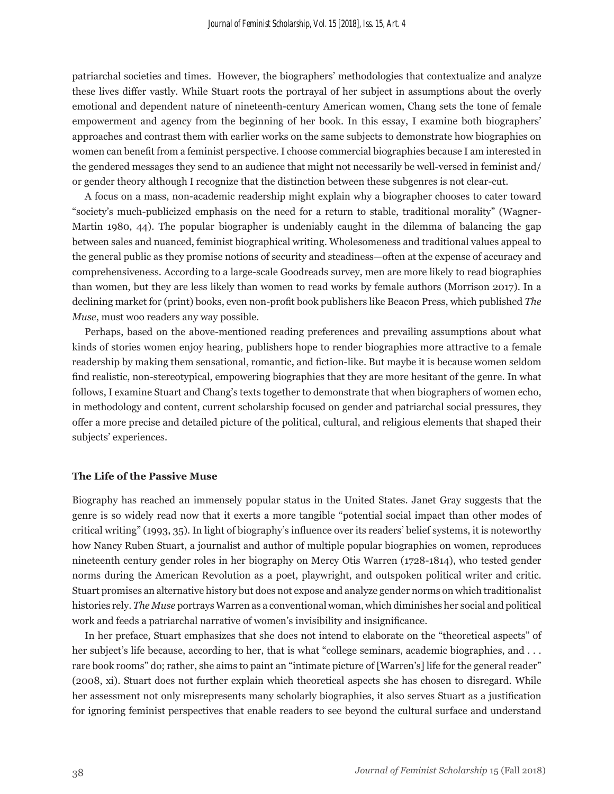patriarchal societies and times. However, the biographers' methodologies that contextualize and analyze these lives differ vastly. While Stuart roots the portrayal of her subject in assumptions about the overly emotional and dependent nature of nineteenth-century American women, Chang sets the tone of female empowerment and agency from the beginning of her book. In this essay, I examine both biographers' approaches and contrast them with earlier works on the same subjects to demonstrate how biographies on women can benefit from a feminist perspective. I choose commercial biographies because I am interested in the gendered messages they send to an audience that might not necessarily be well-versed in feminist and/ or gender theory although I recognize that the distinction between these subgenres is not clear-cut.

A focus on a mass, non-academic readership might explain why a biographer chooses to cater toward "society's much-publicized emphasis on the need for a return to stable, traditional morality" (Wagner-Martin 1980, 44). The popular biographer is undeniably caught in the dilemma of balancing the gap between sales and nuanced, feminist biographical writing. Wholesomeness and traditional values appeal to the general public as they promise notions of security and steadiness—often at the expense of accuracy and comprehensiveness. According to a large-scale Goodreads survey, men are more likely to read biographies than women, but they are less likely than women to read works by female authors (Morrison 2017). In a declining market for (print) books, even non-profit book publishers like Beacon Press, which published *The Muse*, must woo readers any way possible.

Perhaps, based on the above-mentioned reading preferences and prevailing assumptions about what kinds of stories women enjoy hearing, publishers hope to render biographies more attractive to a female readership by making them sensational, romantic, and fiction-like. But maybe it is because women seldom find realistic, non-stereotypical, empowering biographies that they are more hesitant of the genre. In what follows, I examine Stuart and Chang's texts together to demonstrate that when biographers of women echo, in methodology and content, current scholarship focused on gender and patriarchal social pressures, they offer a more precise and detailed picture of the political, cultural, and religious elements that shaped their subjects' experiences.

#### **The Life of the Passive Muse**

Biography has reached an immensely popular status in the United States. Janet Gray suggests that the genre is so widely read now that it exerts a more tangible "potential social impact than other modes of critical writing" (1993, 35). In light of biography's influence over its readers' belief systems, it is noteworthy how Nancy Ruben Stuart, a journalist and author of multiple popular biographies on women, reproduces nineteenth century gender roles in her biography on Mercy Otis Warren (1728-1814), who tested gender norms during the American Revolution as a poet, playwright, and outspoken political writer and critic. Stuart promises an alternative history but does not expose and analyze gender norms on which traditionalist histories rely. *The Muse* portrays Warren as a conventional woman, which diminishes her social and political work and feeds a patriarchal narrative of women's invisibility and insignificance.

In her preface, Stuart emphasizes that she does not intend to elaborate on the "theoretical aspects" of her subject's life because, according to her, that is what "college seminars, academic biographies, and . . . rare book rooms" do; rather, she aims to paint an "intimate picture of [Warren's] life for the general reader" (2008, xi). Stuart does not further explain which theoretical aspects she has chosen to disregard. While her assessment not only misrepresents many scholarly biographies, it also serves Stuart as a justification for ignoring feminist perspectives that enable readers to see beyond the cultural surface and understand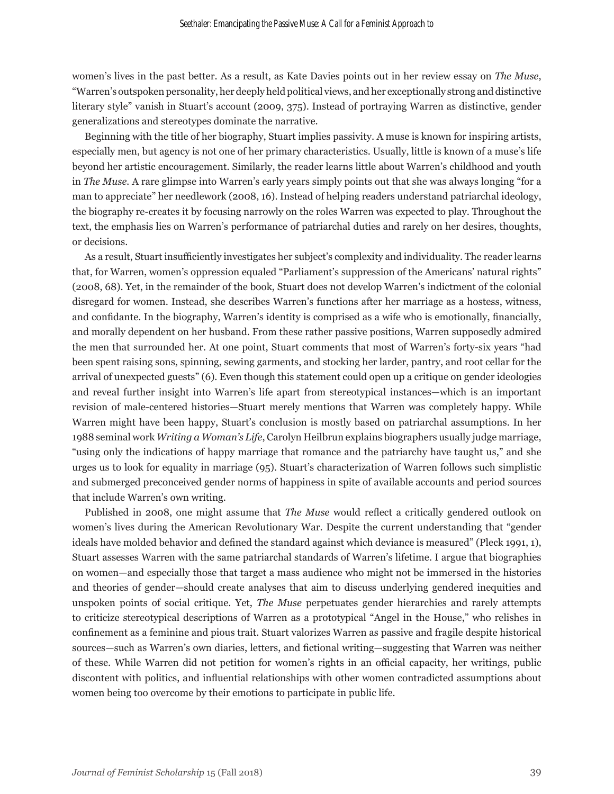women's lives in the past better. As a result, as Kate Davies points out in her review essay on *The Muse*, "Warren's outspoken personality, her deeply held political views, and her exceptionally strong and distinctive literary style" vanish in Stuart's account (2009, 375). Instead of portraying Warren as distinctive, gender generalizations and stereotypes dominate the narrative.

Beginning with the title of her biography, Stuart implies passivity. A muse is known for inspiring artists, especially men, but agency is not one of her primary characteristics. Usually, little is known of a muse's life beyond her artistic encouragement. Similarly, the reader learns little about Warren's childhood and youth in *The Muse.* A rare glimpse into Warren's early years simply points out that she was always longing "for a man to appreciate" her needlework (2008, 16). Instead of helping readers understand patriarchal ideology, the biography re-creates it by focusing narrowly on the roles Warren was expected to play. Throughout the text, the emphasis lies on Warren's performance of patriarchal duties and rarely on her desires, thoughts, or decisions.

As a result, Stuart insufficiently investigates her subject's complexity and individuality. The reader learns that, for Warren, women's oppression equaled "Parliament's suppression of the Americans' natural rights" (2008, 68). Yet, in the remainder of the book, Stuart does not develop Warren's indictment of the colonial disregard for women. Instead, she describes Warren's functions after her marriage as a hostess, witness, and confidante. In the biography, Warren's identity is comprised as a wife who is emotionally, financially, and morally dependent on her husband. From these rather passive positions, Warren supposedly admired the men that surrounded her. At one point, Stuart comments that most of Warren's forty-six years "had been spent raising sons, spinning, sewing garments, and stocking her larder, pantry, and root cellar for the arrival of unexpected guests" (6). Even though this statement could open up a critique on gender ideologies and reveal further insight into Warren's life apart from stereotypical instances—which is an important revision of male-centered histories—Stuart merely mentions that Warren was completely happy. While Warren might have been happy, Stuart's conclusion is mostly based on patriarchal assumptions. In her 1988 seminal work *Writing a Woman's Life*, Carolyn Heilbrun explains biographers usually judge marriage, "using only the indications of happy marriage that romance and the patriarchy have taught us," and she urges us to look for equality in marriage (95). Stuart's characterization of Warren follows such simplistic and submerged preconceived gender norms of happiness in spite of available accounts and period sources that include Warren's own writing.

Published in 2008, one might assume that *The Muse* would reflect a critically gendered outlook on women's lives during the American Revolutionary War. Despite the current understanding that "gender ideals have molded behavior and defined the standard against which deviance is measured" (Pleck 1991, 1), Stuart assesses Warren with the same patriarchal standards of Warren's lifetime. I argue that biographies on women—and especially those that target a mass audience who might not be immersed in the histories and theories of gender—should create analyses that aim to discuss underlying gendered inequities and unspoken points of social critique. Yet, *The Muse* perpetuates gender hierarchies and rarely attempts to criticize stereotypical descriptions of Warren as a prototypical "Angel in the House," who relishes in confinement as a feminine and pious trait. Stuart valorizes Warren as passive and fragile despite historical sources—such as Warren's own diaries, letters, and fictional writing—suggesting that Warren was neither of these. While Warren did not petition for women's rights in an official capacity, her writings, public discontent with politics, and influential relationships with other women contradicted assumptions about women being too overcome by their emotions to participate in public life.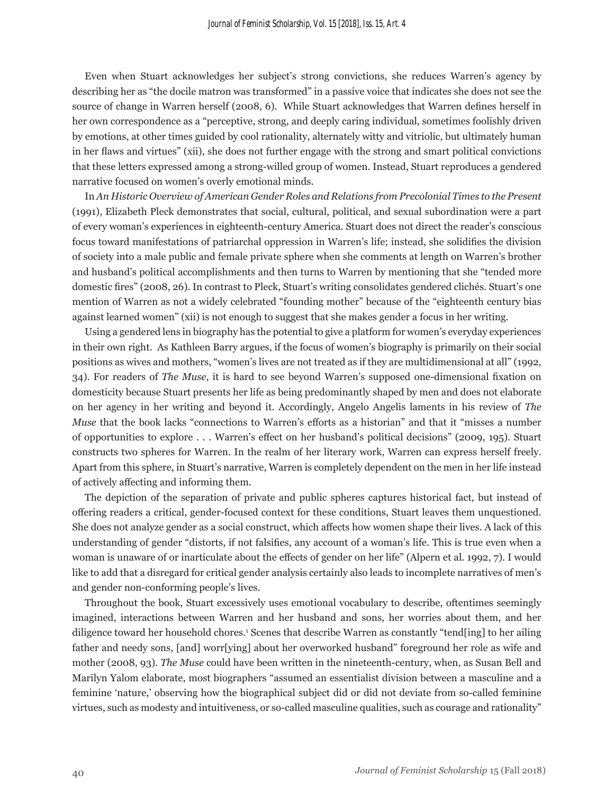Even when Stuart acknowledges her subject's strong convictions, she reduces Warren's agency by describing her as "the docile matron was transformed" in a passive voice that indicates she does not see the source of change in Warren herself (2008, 6). While Stuart acknowledges that Warren defines herself in her own correspondence as a "perceptive, strong, and deeply caring individual, sometimes foolishly driven by emotions, at other times guided by cool rationality, alternately witty and vitriolic, but ultimately human in her flaws and virtues" (xii), she does not further engage with the strong and smart political convictions that these letters expressed among a strong-willed group of women. Instead, Stuart reproduces a gendered narrative focused on women's overly emotional minds.

In *An Historic Overview of American Gender Roles and Relations from Precolonial Times to the Present*  (1991), Elizabeth Pleck demonstrates that social, cultural, political, and sexual subordination were a part of every woman's experiences in eighteenth-century America. Stuart does not direct the reader's conscious focus toward manifestations of patriarchal oppression in Warren's life; instead, she solidifies the division of society into a male public and female private sphere when she comments at length on Warren's brother and husband's political accomplishments and then turns to Warren by mentioning that she "tended more domestic fires" (2008, 26). In contrast to Pleck, Stuart's writing consolidates gendered clichés. Stuart's one mention of Warren as not a widely celebrated "founding mother" because of the "eighteenth century bias against learned women" (xii) is not enough to suggest that she makes gender a focus in her writing.

Using a gendered lens in biography has the potential to give a platform for women's everyday experiences in their own right. As Kathleen Barry argues, if the focus of women's biography is primarily on their social positions as wives and mothers, "women's lives are not treated as if they are multidimensional at all" (1992, 34). For readers of *The Muse*, it is hard to see beyond Warren's supposed one-dimensional fixation on domesticity because Stuart presents her life as being predominantly shaped by men and does not elaborate on her agency in her writing and beyond it. Accordingly, Angelo Angelis laments in his review of *The Muse* that the book lacks "connections to Warren's efforts as a historian" and that it "misses a number of opportunities to explore . . . Warren's effect on her husband's political decisions" (2009, 195). Stuart constructs two spheres for Warren. In the realm of her literary work, Warren can express herself freely. Apart from this sphere, in Stuart's narrative, Warren is completely dependent on the men in her life instead of actively affecting and informing them.

The depiction of the separation of private and public spheres captures historical fact, but instead of offering readers a critical, gender-focused context for these conditions, Stuart leaves them unquestioned. She does not analyze gender as a social construct, which affects how women shape their lives. A lack of this understanding of gender "distorts, if not falsifies, any account of a woman's life. This is true even when a woman is unaware of or inarticulate about the effects of gender on her life" (Alpern et al. 1992, 7). I would like to add that a disregard for critical gender analysis certainly also leads to incomplete narratives of men's and gender non-conforming people's lives.

Throughout the book, Stuart excessively uses emotional vocabulary to describe, oftentimes seemingly imagined, interactions between Warren and her husband and sons, her worries about them, and her diligence toward her household chores.1 Scenes that describe Warren as constantly "tend[ing] to her ailing father and needy sons, [and] worr[ying] about her overworked husband" foreground her role as wife and mother (2008, 93). *The Muse* could have been written in the nineteenth-century, when, as Susan Bell and Marilyn Yalom elaborate, most biographers "assumed an essentialist division between a masculine and a feminine 'nature,' observing how the biographical subject did or did not deviate from so-called feminine virtues, such as modesty and intuitiveness, or so-called masculine qualities, such as courage and rationality"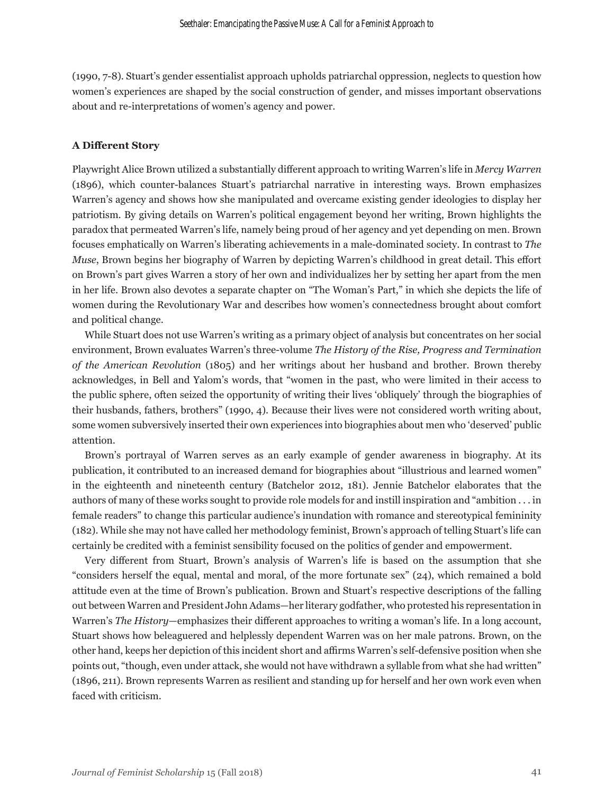(1990, 7-8). Stuart's gender essentialist approach upholds patriarchal oppression, neglects to question how women's experiences are shaped by the social construction of gender, and misses important observations about and re-interpretations of women's agency and power.

#### **A Different Story**

Playwright Alice Brown utilized a substantially different approach to writing Warren's life in *Mercy Warren*  (1896), which counter-balances Stuart's patriarchal narrative in interesting ways. Brown emphasizes Warren's agency and shows how she manipulated and overcame existing gender ideologies to display her patriotism. By giving details on Warren's political engagement beyond her writing, Brown highlights the paradox that permeated Warren's life, namely being proud of her agency and yet depending on men. Brown focuses emphatically on Warren's liberating achievements in a male-dominated society. In contrast to *The Muse*, Brown begins her biography of Warren by depicting Warren's childhood in great detail. This effort on Brown's part gives Warren a story of her own and individualizes her by setting her apart from the men in her life. Brown also devotes a separate chapter on "The Woman's Part," in which she depicts the life of women during the Revolutionary War and describes how women's connectedness brought about comfort and political change.

While Stuart does not use Warren's writing as a primary object of analysis but concentrates on her social environment, Brown evaluates Warren's three-volume *The History of the Rise, Progress and Termination of the American Revolution* (1805) and her writings about her husband and brother. Brown thereby acknowledges, in Bell and Yalom's words, that "women in the past, who were limited in their access to the public sphere, often seized the opportunity of writing their lives 'obliquely' through the biographies of their husbands, fathers, brothers" (1990, 4). Because their lives were not considered worth writing about, some women subversively inserted their own experiences into biographies about men who 'deserved' public attention.

Brown's portrayal of Warren serves as an early example of gender awareness in biography. At its publication, it contributed to an increased demand for biographies about "illustrious and learned women" in the eighteenth and nineteenth century (Batchelor 2012, 181). Jennie Batchelor elaborates that the authors of many of these works sought to provide role models for and instill inspiration and "ambition . . . in female readers" to change this particular audience's inundation with romance and stereotypical femininity (182). While she may not have called her methodology feminist, Brown's approach of telling Stuart's life can certainly be credited with a feminist sensibility focused on the politics of gender and empowerment.

Very different from Stuart, Brown's analysis of Warren's life is based on the assumption that she "considers herself the equal, mental and moral, of the more fortunate sex" (24), which remained a bold attitude even at the time of Brown's publication. Brown and Stuart's respective descriptions of the falling out between Warren and President John Adams—her literary godfather, who protested his representation in Warren's *The History*—emphasizes their different approaches to writing a woman's life*.* In a long account, Stuart shows how beleaguered and helplessly dependent Warren was on her male patrons. Brown, on the other hand, keeps her depiction of this incident short and affirms Warren's self-defensive position when she points out, "though, even under attack, she would not have withdrawn a syllable from what she had written" (1896, 211). Brown represents Warren as resilient and standing up for herself and her own work even when faced with criticism.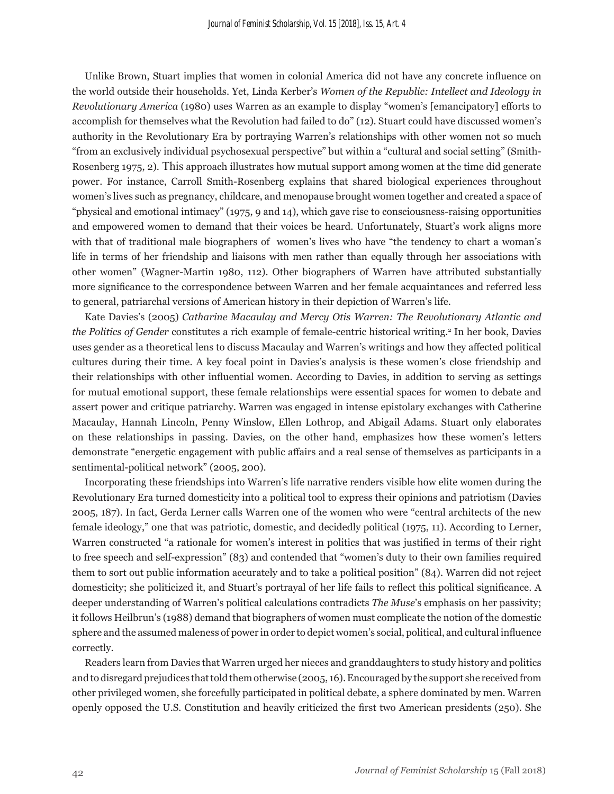Unlike Brown, Stuart implies that women in colonial America did not have any concrete influence on the world outside their households. Yet, Linda Kerber's *Women of the Republic: Intellect and Ideology in Revolutionary America* (1980) uses Warren as an example to display "women's [emancipatory] efforts to accomplish for themselves what the Revolution had failed to do" (12). Stuart could have discussed women's authority in the Revolutionary Era by portraying Warren's relationships with other women not so much "from an exclusively individual psychosexual perspective" but within a "cultural and social setting" (Smith-Rosenberg 1975, 2). This approach illustrates how mutual support among women at the time did generate power. For instance, Carroll Smith-Rosenberg explains that shared biological experiences throughout women's lives such as pregnancy, childcare, and menopause brought women together and created a space of "physical and emotional intimacy" (1975, 9 and 14), which gave rise to consciousness-raising opportunities and empowered women to demand that their voices be heard. Unfortunately, Stuart's work aligns more with that of traditional male biographers of women's lives who have "the tendency to chart a woman's life in terms of her friendship and liaisons with men rather than equally through her associations with other women" (Wagner-Martin 1980, 112). Other biographers of Warren have attributed substantially more significance to the correspondence between Warren and her female acquaintances and referred less to general, patriarchal versions of American history in their depiction of Warren's life.

Kate Davies's (2005) *Catharine Macaulay and Mercy Otis Warren: The Revolutionary Atlantic and the Politics of Gender* constitutes a rich example of female-centric historical writing.2 In her book, Davies uses gender as a theoretical lens to discuss Macaulay and Warren's writings and how they affected political cultures during their time. A key focal point in Davies's analysis is these women's close friendship and their relationships with other influential women. According to Davies, in addition to serving as settings for mutual emotional support, these female relationships were essential spaces for women to debate and assert power and critique patriarchy. Warren was engaged in intense epistolary exchanges with Catherine Macaulay, Hannah Lincoln, Penny Winslow, Ellen Lothrop, and Abigail Adams. Stuart only elaborates on these relationships in passing. Davies, on the other hand, emphasizes how these women's letters demonstrate "energetic engagement with public affairs and a real sense of themselves as participants in a sentimental-political network" (2005, 200).

Incorporating these friendships into Warren's life narrative renders visible how elite women during the Revolutionary Era turned domesticity into a political tool to express their opinions and patriotism (Davies 2005, 187). In fact, Gerda Lerner calls Warren one of the women who were "central architects of the new female ideology," one that was patriotic, domestic, and decidedly political (1975, 11). According to Lerner, Warren constructed "a rationale for women's interest in politics that was justified in terms of their right to free speech and self-expression" (83) and contended that "women's duty to their own families required them to sort out public information accurately and to take a political position" (84). Warren did not reject domesticity; she politicized it, and Stuart's portrayal of her life fails to reflect this political significance. A deeper understanding of Warren's political calculations contradicts *The Muse*'s emphasis on her passivity; it follows Heilbrun's (1988) demand that biographers of women must complicate the notion of the domestic sphere and the assumed maleness of power in order to depict women's social, political, and cultural influence correctly.

Readers learn from Davies that Warren urged her nieces and granddaughters to study history and politics and to disregard prejudices that told them otherwise (2005, 16). Encouraged by the support she received from other privileged women, she forcefully participated in political debate, a sphere dominated by men. Warren openly opposed the U.S. Constitution and heavily criticized the first two American presidents (250). She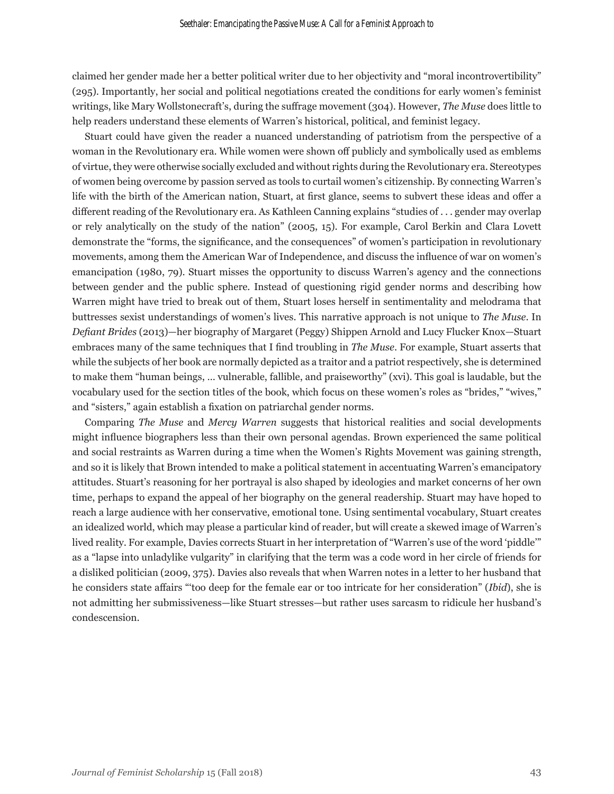claimed her gender made her a better political writer due to her objectivity and "moral incontrovertibility" (295). Importantly, her social and political negotiations created the conditions for early women's feminist writings, like Mary Wollstonecraft's, during the suffrage movement (304). However, *The Muse* does little to help readers understand these elements of Warren's historical, political, and feminist legacy.

Stuart could have given the reader a nuanced understanding of patriotism from the perspective of a woman in the Revolutionary era. While women were shown off publicly and symbolically used as emblems of virtue, they were otherwise socially excluded and without rights during the Revolutionary era. Stereotypes of women being overcome by passion served as tools to curtail women's citizenship. By connecting Warren's life with the birth of the American nation, Stuart, at first glance, seems to subvert these ideas and offer a different reading of the Revolutionary era. As Kathleen Canning explains "studies of . . . gender may overlap or rely analytically on the study of the nation" (2005, 15). For example, Carol Berkin and Clara Lovett demonstrate the "forms, the significance, and the consequences" of women's participation in revolutionary movements, among them the American War of Independence, and discuss the influence of war on women's emancipation (1980, 79). Stuart misses the opportunity to discuss Warren's agency and the connections between gender and the public sphere. Instead of questioning rigid gender norms and describing how Warren might have tried to break out of them, Stuart loses herself in sentimentality and melodrama that buttresses sexist understandings of women's lives. This narrative approach is not unique to *The Muse*. In *Defiant Brides* (2013)—her biography of Margaret (Peggy) Shippen Arnold and Lucy Flucker Knox*—*Stuart embraces many of the same techniques that I find troubling in *The Muse*. For example, Stuart asserts that while the subjects of her book are normally depicted as a traitor and a patriot respectively, she is determined to make them "human beings, … vulnerable, fallible, and praiseworthy" (xvi). This goal is laudable, but the vocabulary used for the section titles of the book, which focus on these women's roles as "brides," "wives," and "sisters," again establish a fixation on patriarchal gender norms.

Comparing *The Muse* and *Mercy Warren* suggests that historical realities and social developments might influence biographers less than their own personal agendas. Brown experienced the same political and social restraints as Warren during a time when the Women's Rights Movement was gaining strength, and so it is likely that Brown intended to make a political statement in accentuating Warren's emancipatory attitudes. Stuart's reasoning for her portrayal is also shaped by ideologies and market concerns of her own time, perhaps to expand the appeal of her biography on the general readership. Stuart may have hoped to reach a large audience with her conservative, emotional tone. Using sentimental vocabulary, Stuart creates an idealized world, which may please a particular kind of reader, but will create a skewed image of Warren's lived reality. For example, Davies corrects Stuart in her interpretation of "Warren's use of the word 'piddle'" as a "lapse into unladylike vulgarity" in clarifying that the term was a code word in her circle of friends for a disliked politician (2009, 375). Davies also reveals that when Warren notes in a letter to her husband that he considers state affairs "'too deep for the female ear or too intricate for her consideration" (*Ibid*), she is not admitting her submissiveness—like Stuart stresses—but rather uses sarcasm to ridicule her husband's condescension.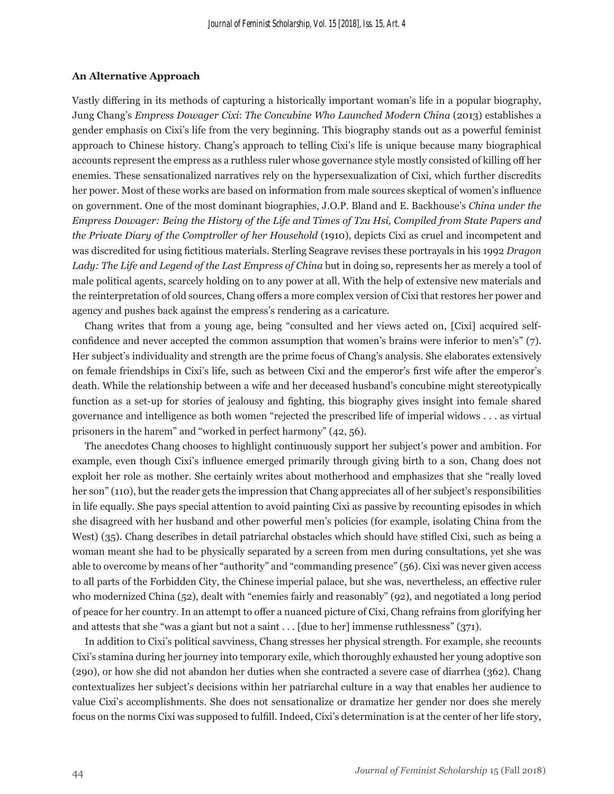#### **An Alternative Approach**

Vastly differing in its methods of capturing a historically important woman's life in a popular biography, Jung Chang's *Empress Dowager Cixi*: *The Concubine Who Launched Modern China* (2013) establishes a gender emphasis on Cixi's life from the very beginning. This biography stands out as a powerful feminist approach to Chinese history. Chang's approach to telling Cixi's life is unique because many biographical accounts represent the empress as a ruthless ruler whose governance style mostly consisted of killing off her enemies. These sensationalized narratives rely on the hypersexualization of Cixi, which further discredits her power. Most of these works are based on information from male sources skeptical of women's influence on government. One of the most dominant biographies, J.O.P. Bland and E. Backhouse's *China under the Empress Dowager: Being the History of the Life and Times of Tzu Hsi, Compiled from State Papers and the Private Diary of the Comptroller of her Household* (1910), depicts Cixi as cruel and incompetent and was discredited for using fictitious materials. Sterling Seagrave revises these portrayals in his 1992 *Dragon Lady: The Life and Legend of the Last Empress of China* but in doing so, represents her as merely a tool of male political agents, scarcely holding on to any power at all. With the help of extensive new materials and the reinterpretation of old sources, Chang offers a more complex version of Cixi that restores her power and agency and pushes back against the empress's rendering as a caricature.

Chang writes that from a young age, being "consulted and her views acted on, [Cixi] acquired selfconfidence and never accepted the common assumption that women's brains were inferior to men's" (7). Her subject's individuality and strength are the prime focus of Chang's analysis. She elaborates extensively on female friendships in Cixi's life, such as between Cixi and the emperor's first wife after the emperor's death. While the relationship between a wife and her deceased husband's concubine might stereotypically function as a set-up for stories of jealousy and fighting, this biography gives insight into female shared governance and intelligence as both women "rejected the prescribed life of imperial widows . . . as virtual prisoners in the harem" and "worked in perfect harmony" (42, 56).

The anecdotes Chang chooses to highlight continuously support her subject's power and ambition. For example, even though Cixi's influence emerged primarily through giving birth to a son, Chang does not exploit her role as mother. She certainly writes about motherhood and emphasizes that she "really loved her son" (110), but the reader gets the impression that Chang appreciates all of her subject's responsibilities in life equally. She pays special attention to avoid painting Cixi as passive by recounting episodes in which she disagreed with her husband and other powerful men's policies (for example, isolating China from the West) (35). Chang describes in detail patriarchal obstacles which should have stifled Cixi, such as being a woman meant she had to be physically separated by a screen from men during consultations, yet she was able to overcome by means of her "authority" and "commanding presence" (56). Cixi was never given access to all parts of the Forbidden City, the Chinese imperial palace, but she was, nevertheless, an effective ruler who modernized China (52), dealt with "enemies fairly and reasonably" (92), and negotiated a long period of peace for her country. In an attempt to offer a nuanced picture of Cixi, Chang refrains from glorifying her and attests that she "was a giant but not a saint . . . [due to her] immense ruthlessness" (371).

In addition to Cixi's political savviness, Chang stresses her physical strength. For example, she recounts Cixi's stamina during her journey into temporary exile, which thoroughly exhausted her young adoptive son (290), or how she did not abandon her duties when she contracted a severe case of diarrhea (362). Chang contextualizes her subject's decisions within her patriarchal culture in a way that enables her audience to value Cixi's accomplishments. She does not sensationalize or dramatize her gender nor does she merely focus on the norms Cixi was supposed to fulfill. Indeed, Cixi's determination is at the center of her life story,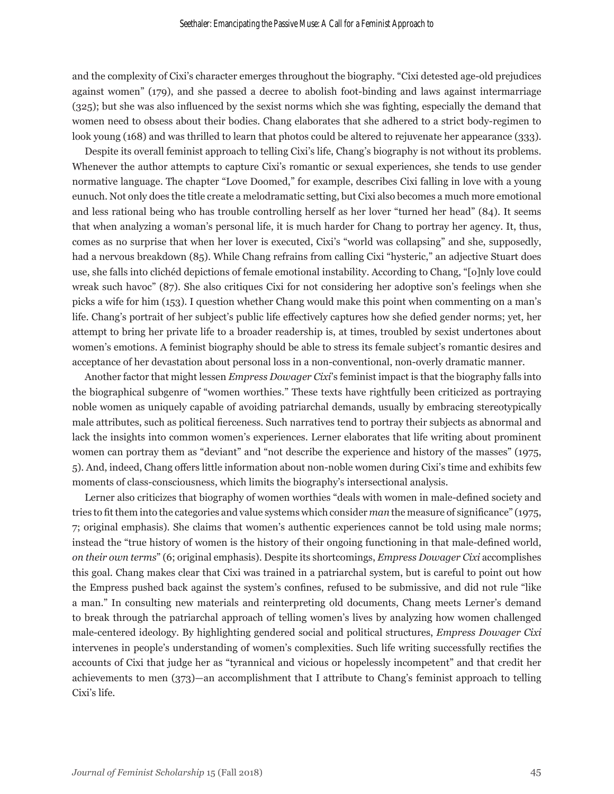and the complexity of Cixi's character emerges throughout the biography. "Cixi detested age-old prejudices against women" (179), and she passed a decree to abolish foot-binding and laws against intermarriage (325); but she was also influenced by the sexist norms which she was fighting, especially the demand that women need to obsess about their bodies. Chang elaborates that she adhered to a strict body-regimen to look young (168) and was thrilled to learn that photos could be altered to rejuvenate her appearance (333).

Despite its overall feminist approach to telling Cixi's life, Chang's biography is not without its problems. Whenever the author attempts to capture Cixi's romantic or sexual experiences, she tends to use gender normative language. The chapter "Love Doomed," for example, describes Cixi falling in love with a young eunuch. Not only does the title create a melodramatic setting, but Cixi also becomes a much more emotional and less rational being who has trouble controlling herself as her lover "turned her head" (84). It seems that when analyzing a woman's personal life, it is much harder for Chang to portray her agency. It, thus, comes as no surprise that when her lover is executed, Cixi's "world was collapsing" and she, supposedly, had a nervous breakdown (85). While Chang refrains from calling Cixi "hysteric," an adjective Stuart does use, she falls into clichéd depictions of female emotional instability. According to Chang, "[o]nly love could wreak such havoc" (87). She also critiques Cixi for not considering her adoptive son's feelings when she picks a wife for him (153). I question whether Chang would make this point when commenting on a man's life. Chang's portrait of her subject's public life effectively captures how she defied gender norms; yet, her attempt to bring her private life to a broader readership is, at times, troubled by sexist undertones about women's emotions. A feminist biography should be able to stress its female subject's romantic desires and acceptance of her devastation about personal loss in a non-conventional, non-overly dramatic manner.

Another factor that might lessen *Empress Dowager Cixi*'s feminist impact is that the biography falls into the biographical subgenre of "women worthies." These texts have rightfully been criticized as portraying noble women as uniquely capable of avoiding patriarchal demands, usually by embracing stereotypically male attributes, such as political fierceness. Such narratives tend to portray their subjects as abnormal and lack the insights into common women's experiences. Lerner elaborates that life writing about prominent women can portray them as "deviant" and "not describe the experience and history of the masses" (1975, 5). And, indeed, Chang offers little information about non-noble women during Cixi's time and exhibits few moments of class-consciousness, which limits the biography's intersectional analysis.

Lerner also criticizes that biography of women worthies "deals with women in male-defined society and tries to fit them into the categories and value systems which consider *man* the measure of significance" (1975, 7; original emphasis). She claims that women's authentic experiences cannot be told using male norms; instead the "true history of women is the history of their ongoing functioning in that male-defined world, *on their own terms*" (6; original emphasis). Despite its shortcomings, *Empress Dowager Cixi* accomplishes this goal. Chang makes clear that Cixi was trained in a patriarchal system, but is careful to point out how the Empress pushed back against the system's confines, refused to be submissive, and did not rule "like a man." In consulting new materials and reinterpreting old documents, Chang meets Lerner's demand to break through the patriarchal approach of telling women's lives by analyzing how women challenged male-centered ideology. By highlighting gendered social and political structures, *Empress Dowager Cixi* intervenes in people's understanding of women's complexities. Such life writing successfully rectifies the accounts of Cixi that judge her as "tyrannical and vicious or hopelessly incompetent" and that credit her achievements to men (373)—an accomplishment that I attribute to Chang's feminist approach to telling Cixi's life.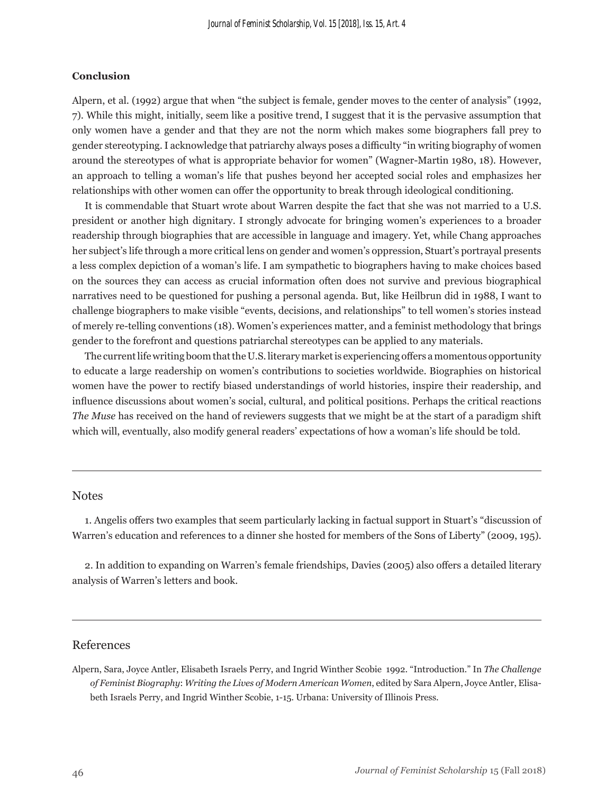### **Conclusion**

Alpern, et al. (1992) argue that when "the subject is female, gender moves to the center of analysis" (1992, 7). While this might, initially, seem like a positive trend, I suggest that it is the pervasive assumption that only women have a gender and that they are not the norm which makes some biographers fall prey to gender stereotyping. I acknowledge that patriarchy always poses a difficulty "in writing biography of women around the stereotypes of what is appropriate behavior for women" (Wagner-Martin 1980, 18). However, an approach to telling a woman's life that pushes beyond her accepted social roles and emphasizes her relationships with other women can offer the opportunity to break through ideological conditioning.

It is commendable that Stuart wrote about Warren despite the fact that she was not married to a U.S. president or another high dignitary. I strongly advocate for bringing women's experiences to a broader readership through biographies that are accessible in language and imagery. Yet, while Chang approaches her subject's life through a more critical lens on gender and women's oppression, Stuart's portrayal presents a less complex depiction of a woman's life. I am sympathetic to biographers having to make choices based on the sources they can access as crucial information often does not survive and previous biographical narratives need to be questioned for pushing a personal agenda. But, like Heilbrun did in 1988, I want to challenge biographers to make visible "events, decisions, and relationships" to tell women's stories instead of merely re-telling conventions (18). Women's experiences matter, and a feminist methodology that brings gender to the forefront and questions patriarchal stereotypes can be applied to any materials.

The current life writing boom that the U.S. literary market is experiencing offers a momentous opportunity to educate a large readership on women's contributions to societies worldwide. Biographies on historical women have the power to rectify biased understandings of world histories, inspire their readership, and influence discussions about women's social, cultural, and political positions. Perhaps the critical reactions *The Muse* has received on the hand of reviewers suggests that we might be at the start of a paradigm shift which will, eventually, also modify general readers' expectations of how a woman's life should be told.

## **Notes**

1. Angelis offers two examples that seem particularly lacking in factual support in Stuart's "discussion of Warren's education and references to a dinner she hosted for members of the Sons of Liberty" (2009, 195).

2. In addition to expanding on Warren's female friendships, Davies (2005) also offers a detailed literary analysis of Warren's letters and book.

# References

Alpern, Sara, Joyce Antler, Elisabeth Israels Perry, and Ingrid Winther Scobie 1992. "Introduction." In *The Challenge of Feminist Biography*: *Writing the Lives of Modern American Women*, edited by Sara Alpern, Joyce Antler, Elisabeth Israels Perry, and Ingrid Winther Scobie, 1-15. Urbana: University of Illinois Press.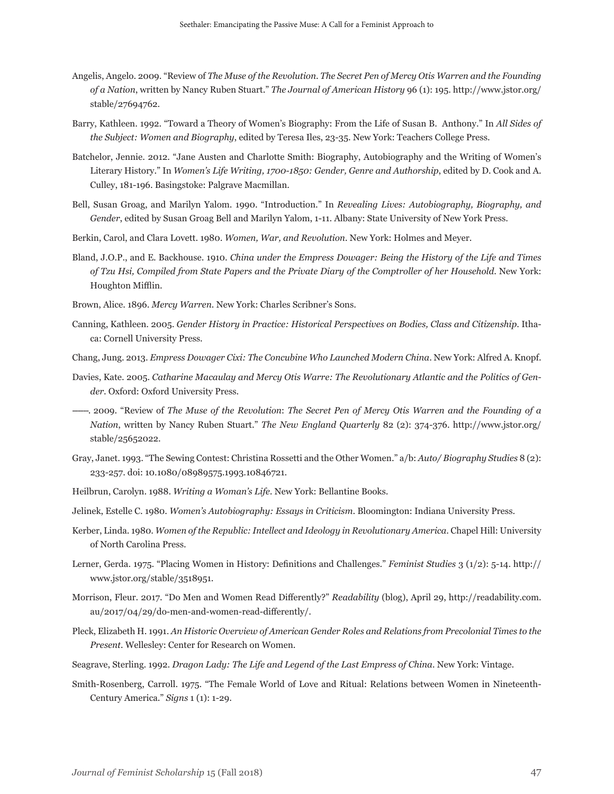- Angelis, Angelo. 2009. "Review of *The Muse of the Revolution*. *The Secret Pen of Mercy Otis Warren and the Founding of a Nation*, written by Nancy Ruben Stuart." *The Journal of American History* 96 (1): 195. http://www.jstor.org/ stable/27694762.
- Barry, Kathleen. 1992. "Toward a Theory of Women's Biography: From the Life of Susan B. Anthony." In *All Sides of the Subject: Women and Biography*, edited by Teresa Iles, 23-35. New York: Teachers College Press.
- Batchelor, Jennie. 2012. "Jane Austen and Charlotte Smith: Biography, Autobiography and the Writing of Women's Literary History." In *Women's Life Writing, 1700-1850: Gender, Genre and Authorship*, edited by D. Cook and A. Culley, 181-196. Basingstoke: Palgrave Macmillan.
- Bell, Susan Groag, and Marilyn Yalom. 1990. "Introduction." In *Revealing Lives: Autobiography, Biography, and Gender*, edited by Susan Groag Bell and Marilyn Yalom, 1-11. Albany: State University of New York Press.
- Berkin, Carol, and Clara Lovett. 1980. *Women, War, and Revolution.* New York: Holmes and Meyer.
- Bland, J.O.P., and E. Backhouse. 1910. *China under the Empress Dowager: Being the History of the Life and Times of Tzu Hsi, Compiled from State Papers and the Private Diary of the Comptroller of her Household*. New York: Houghton Mifflin.
- Brown, Alice. 1896. *Mercy Warren.* New York: Charles Scribner's Sons.
- Canning, Kathleen. 2005. *Gender History in Practice: Historical Perspectives on Bodies, Class and Citizenship*. Ithaca: Cornell University Press.
- Chang, Jung. 2013. *Empress Dowager Cixi: The Concubine Who Launched Modern China*. New York: Alfred A. Knopf.
- Davies, Kate. 2005. *Catharine Macaulay and Mercy Otis Warre: The Revolutionary Atlantic and the Politics of Gender*. Oxford: Oxford University Press.
- ------. 2009. "Review of *The Muse of the Revolution*: *The Secret Pen of Mercy Otis Warren and the Founding of a Nation*, written by Nancy Ruben Stuart." *The New England Quarterly* 82 (2): 374-376. http://www.jstor.org/ stable/25652022.
- Gray, Janet. 1993. "The Sewing Contest: Christina Rossetti and the Other Women." a/b: *Auto/ Biography Studies* 8 (2): 233-257. doi: 10.1080/08989575.1993.10846721.
- Heilbrun, Carolyn. 1988. *Writing a Woman's Life*. New York: Bellantine Books.

Jelinek, Estelle C. 1980. *Women's Autobiography: Essays in Criticism*. Bloomington: Indiana University Press.

- Kerber, Linda. 1980. *Women of the Republic: Intellect and Ideology in Revolutionary America*. Chapel Hill: University of North Carolina Press.
- Lerner, Gerda. 1975. "Placing Women in History: Definitions and Challenges." *Feminist Studies* 3 (1/2): 5-14. http:// www.jstor.org/stable/3518951.
- Morrison, Fleur. 2017. "Do Men and Women Read Differently?" *Readability* (blog), April 29, http://readability.com. au/2017/04/29/do-men-and-women-read-differently/.
- Pleck, Elizabeth H. 1991. *An Historic Overview of American Gender Roles and Relations from Precolonial Times to the Present.* Wellesley: Center for Research on Women.
- Seagrave, Sterling. 1992. *Dragon Lady: The Life and Legend of the Last Empress of China*. New York: Vintage.
- Smith-Rosenberg, Carroll. 1975. "The Female World of Love and Ritual: Relations between Women in Nineteenth-Century America." *Signs* 1 (1): 1-29.